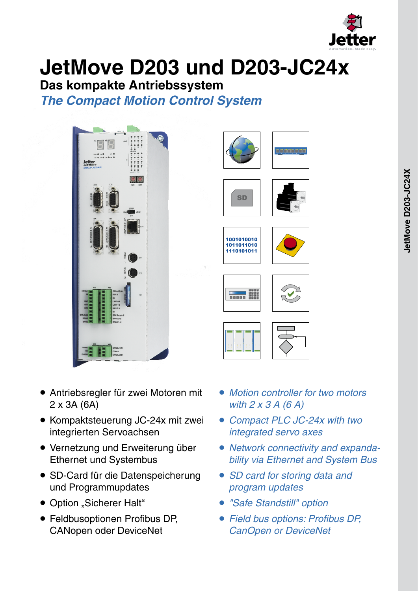

# **JetMove D203 und D203-JC24x**

**Das kompakte Antriebssystem**

*The Compact Motion Control System*









F1 F2 F3 F4 F5







- Antriebsregler für zwei Motoren mit 2 x 3A (6A)
- Kompaktsteuerung JC-24x mit zwei integrierten Servoachsen
- **Vernetzung und Erweiterung über** Ethernet und Systembus
- SD-Card für die Datenspeicherung und Programmupdates
- Option "Sicherer Halt"
- Feldbusoptionen Profibus DP, CANopen oder DeviceNet
- *Motion controller for two motors with 2 x 3 A (6 A)*
- *Compact PLC JC-24x with two integrated servo axes*
- *Network connectivity and expanda- bility via Ethernet and System Bus*
- *SD card for storing data and program updates*
- *"Safe Standstill" option* •
- *Field bus options: Profibus DP, CanOpen or DeviceNet*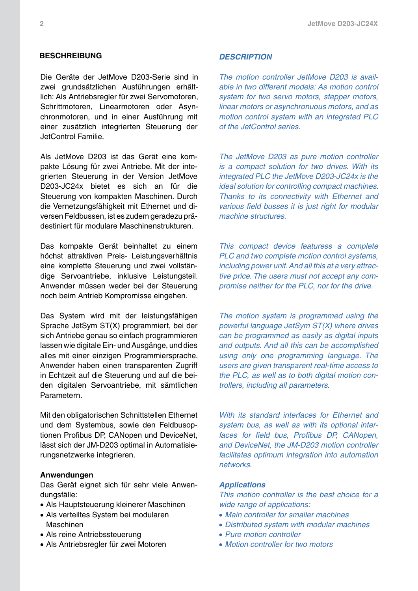#### **Beschreibung**

Die Geräte der JetMove D203-Serie sind in zwei grundsätzlichen Ausführungen erhältlich: Als Antriebsregler für zwei Servomotoren, Schrittmotoren, Linearmotoren oder Asynchronmotoren, und in einer Ausführung mit einer zusätzlich integrierten Steuerung der JetControl Familie.

Als JetMove D203 ist das Gerät eine kompakte Lösung für zwei Antriebe. Mit der integrierten Steuerung in der Version JetMove D203-JC24x bietet es sich an für die Steuerung von kompakten Maschinen. Durch die Vernetzungsfähigkeit mit Ethernet und diversen Feldbussen, ist es zudem geradezu prädestiniert für modulare Maschinenstrukturen.

Das kompakte Gerät beinhaltet zu einem höchst attraktiven Preis- Leistungsverhältnis eine komplette Steuerung und zwei vollständige Servoantriebe, inklusive Leistungsteil. Anwender müssen weder bei der Steuerung noch beim Antrieb Kompromisse eingehen.

Das System wird mit der leistungsfähigen Sprache JetSym ST(X) programmiert, bei der sich Antriebe genau so einfach programmieren lassen wie digitale Ein- und Ausgänge, und dies alles mit einer einzigen Programmiersprache. Anwender haben einen transparenten Zugriff in Echtzeit auf die Steuerung und auf die beiden digitalen Servoantriebe, mit sämtlichen Parametern.

Mit den obligatorischen Schnittstellen Ethernet und dem Systembus, sowie den Feldbusoptionen Profibus DP, CANopen und DeviceNet, lässt sich der JM-D203 optimal in Automatisierungsnetzwerke integrieren.

#### **Anwendungen**

Das Gerät eignet sich für sehr viele Anwendungsfälle:

- Als Hauptsteuerung kleinerer Maschinen •
- Als verteiltes System bei modularen Maschinen
- Als reine Antriebssteuerung
- Als Antriebsregler für zwei Motoren •

#### *Description*

*The motion controller JetMove D203 is available in two different models: As motion control system for two servo motors, stepper motors, linear motors or asynchronuous motors, and as motion control system with an integrated PLC of the JetControl series.*

*The JetMove D203 as pure motion controller is a compact solution for two drives. With its integrated PLC the JetMove D203-JC24x is the ideal solution for controlling compact machines. Thanks to its connectivity with Ethernet and various field busses it is just right for modular machine structures.*

*This compact device featuress a complete PLC and two complete motion control systems, including power unit. And all this at a very attractive price. The users must not accept any compromise neither for the PLC, nor for the drive.*

*The motion system is programmed using the powerful language JetSym ST(X) where drives can be programmed as easily as digital inputs and outputs. And all this can be accomplished using only one programming language. The users are given transparent real-time access to the PLC, as well as to both digital motion controllers, including all parameters.*

*With its standard interfaces for Ethernet and system bus, as well as with its optional interfaces for field bus, Profibus DP, CANopen, and DeviceNet, the JM-D203 motion controller facilitates optimum integration into automation networks.* 

#### *Applications*

*This motion controller is the best choice for a wide range of applications:*

- *Main controller for smaller machines* •
- *Distributed system with modular machines* •
- *Pure motion controller* •
- *Motion controller for two motors* •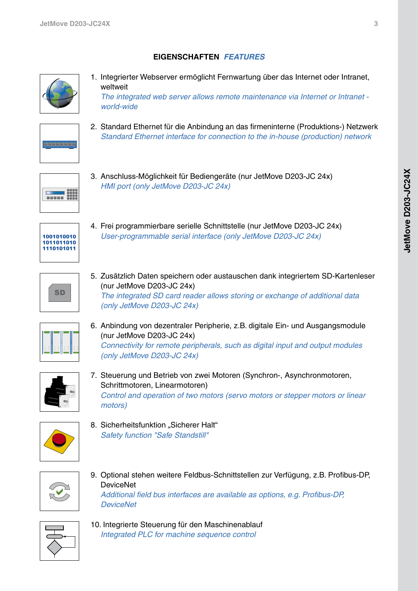# **Eigenschaften** *features*



1. Integrierter Webserver ermöglicht Fernwartung über das Internet oder Intranet, weltweit

 *The integrated web server allows remote maintenance via Internet or Intranet world-wide*



2. Standard Ethernet für die Anbindung an das firmeninterne (Produktions-) Netzwerk  *Standard Ethernet interface for connection to the in-house (production) network*



3. Anschluss-Möglichkeit für Bediengeräte (nur JetMove D203-JC 24x)  *HMI port (only JetMove D203-JC 24x)*



4. Frei programmierbare serielle Schnittstelle (nur JetMove D203-JC 24x)  *User-programmable serial interface (only JetMove D203-JC 24x)*



5. Zusätzlich Daten speichern oder austauschen dank integriertem SD-Kartenleser (nur JetMove D203-JC 24x)  *The integrated SD card reader allows storing or exchange of additional data (only JetMove D203-JC 24x)*



6. Anbindung von dezentraler Peripherie, z.B. digitale Ein- und Ausgangsmodule (nur JetMove D203-JC 24x)  *Connectivity for remote peripherals, such as digital input and output modules (only JetMove D203-JC 24x)*



7. Steuerung und Betrieb von zwei Motoren (Synchron-, Asynchronmotoren, Schrittmotoren, Linearmotoren)  *Control and operation of two motors (servo motors or stepper motors or linear motors)*



8. Sicherheitsfunktion "Sicherer Halt"  *Safety function "Safe Standstill"* 



9. Optional stehen weitere Feldbus-Schnittstellen zur Verfügung, z.B. Profibus-DP, **DeviceNet**  *Additional field bus interfaces are available as options, e.g. Profibus-DP, DeviceNet*



10. Integrierte Steuerung für den Maschinenablauf  *Integrated PLC for machine sequence control*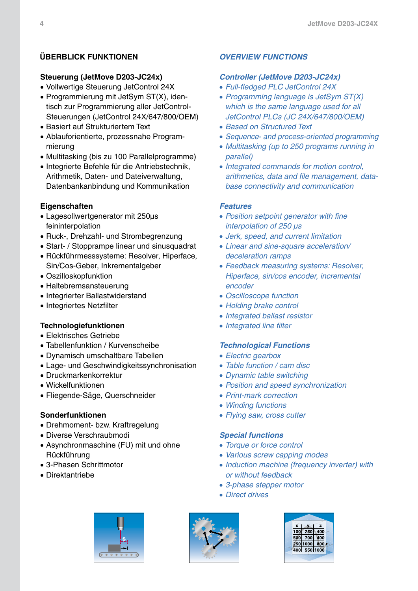# **Überblick Funktionen**

# **Steuerung (JetMove D203-JC24x)**

- Vollwertige Steuerung JetControl 24X •
- Programmierung mit JetSym ST(X), identisch zur Programmierung aller JetControl-Steuerungen (JetControl 24X/647/800/OEM)
- Basiert auf Strukturiertem Text
- Ablauforientierte, prozessnahe Program-• mierung
- Multitasking (bis zu 100 Parallelprogramme)
- Integrierte Befehle für die Antriebstechnik, Arithmetik, Daten- und Dateiverwaltung, Datenbankanbindung und Kommunikation

## **Eigenschaften**

- Lagesollwertgenerator mit 250µs feininterpolation
- Ruck-, Drehzahl- und Strombegrenzung
- Start- / Stopprampe linear und sinusquadrat
- Rückführmesssysteme: Resolver, Hiperface, Sin/Cos-Geber, Inkrementalgeber
- Oszilloskopfunktion •
- Haltebremsansteuerung
- Integrierter Ballastwiderstand
- Integriertes Netzfilter

## **Technologiefunktionen**

- Elektrisches Getriebe •
- Tabellenfunktion / Kurvenscheibe •
- Dynamisch umschaltbare Tabellen •
- Lage- und Geschwindigkeitssynchronisation •
- Druckmarkenkorrektur •
- Wickelfunktionen •
- Fliegende-Säge, Querschneider •

## **Sonderfunktionen**

- Drehmoment- bzw. Kraftregelung
- Diverse Verschraubmodi •
- Asynchronmaschine (FU) mit und ohne Rückführung
- 3-Phasen Schrittmotor •
- Direktantriebe •

# *Overview Functions*

#### *Controller (JetMove D203-JC24x)*

- *Full-fledged PLC JetControl 24X* •
- *Programming language is JetSym ST(X) which is the same language used for all JetControl PLCs (JC 24X/647/800/OEM)*
- *Based on Structured Text* •
- *Sequence- and process-oriented programming* •
- *Multitasking (up to 250 programs running in parallel)*
- *Integrated commands for motion control, arithmetics, data and file management, database connectivity and communication*

#### *Features*

- *Position setpoint generator with fine interpolation of 250 µs*
- *Jerk, speed, and current limitation* •
- *Linear and sine-square acceleration/ deceleration ramps*
- *Feedback measuring systems: Resolver, Hiperface, sin/cos encoder, incremental encoder*
- *Oscilloscope function* •
- *Holding brake control* •
- *Integrated ballast resistor* •
- *Integrated line filter* •

## *Technological Functions*

- *Electric gearbox* •
- *Table function / cam disc* •
- *Dynamic table switching* •
- *Position and speed synchronization* •
- *Print-mark correction* •
- *Winding functions* •
- *Flying saw, cross cutter* •

#### *Special functions*

- *Torque or force control* •
- *Various screw capping modes* •
- *Induction machine (frequency inverter) with or without feedback*
- *3-phase stepper motor* •
- *Direct drives* •





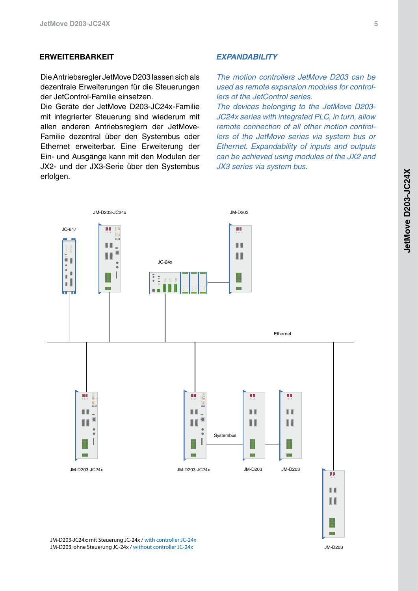#### **ERweiterbarkeit**

Die Antriebsregler JetMove D203 lassen sich als dezentrale Erweiterungen für die Steuerungen der JetControl-Familie einsetzen.

Die Geräte der JetMove D203-JC24x-Familie mit integrierter Steuerung sind wiederum mit allen anderen Antriebsreglern der JetMove-Familie dezentral über den Systembus oder Ethernet erweiterbar. Eine Erweiterung der Ein- und Ausgänge kann mit den Modulen der JX2- und der JX3-Serie über den Systembus erfolgen.

#### *expandability*

*The motion controllers JetMove D203 can be used as remote expansion modules for controllers of the JetControl series.*

*The devices belonging to the JetMove D203- JC24x series with integrated PLC, in turn, allow remote connection of all other motion controllers of the JetMove series via system bus or Ethernet. Expandability of inputs and outputs can be achieved using modules of the JX2 and JX3 series via system bus.*



JM-D203-JC24x: mit Steuerung JC-24x / with controller JC-24x JM-D203: ohne Steuerung JC-24x / without controller JC-24x

JM-D203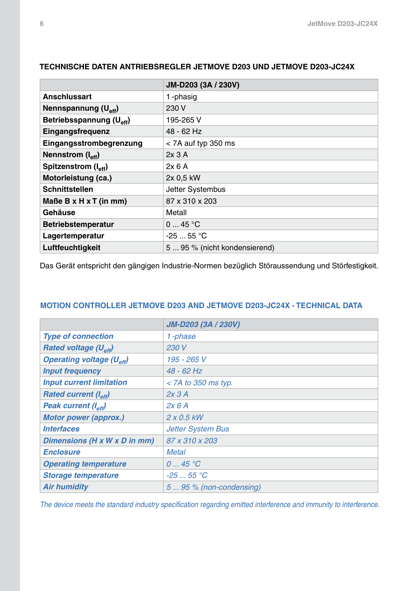|                                      | JM-D203 (3A / 230V)           |
|--------------------------------------|-------------------------------|
| <b>Anschlussart</b>                  | 1-phasig                      |
| Nennspannung $(U_{\text{eff}})$      | 230 V                         |
| Betriebsspannung (U <sub>eff</sub> ) | 195-265 V                     |
| Eingangsfrequenz                     | 48 - 62 Hz                    |
| Eingangsstrombegrenzung              | $<$ 7A auf typ 350 ms         |
| Nennstrom (I <sub>eff</sub> )        | 2x3A                          |
| Spitzenstrom (I <sub>eff</sub> )     | 2x6A                          |
| Motorleistung (ca.)                  | 2x 0,5 kW                     |
| <b>Schnittstellen</b>                | Jetter Systembus              |
| Maße B x H x T (in mm)               | 87 x 310 x 203                |
| Gehäuse                              | Metall                        |
| <b>Betriebstemperatur</b>            | 045 °C                        |
| Lagertemperatur                      | $-2555$ °C                    |
| Luftfeuchtigkeit                     | 5  95 % (nicht kondensierend) |

# **Technische Daten Antriebsregler JetMove D203 und JetMove D203-JC24x**

Das Gerät entspricht den gängigen Industrie-Normen bezüglich Störaussendung und Störfestigkeit.

## **Motion Controller JetMove D203 and JetMove D203-JC24x - Technical Data**

|                                            | <b>JM-D203 (3A / 230V)</b> |
|--------------------------------------------|----------------------------|
| <b>Type of connection</b>                  | 1-phase                    |
| <b>Rated voltage (U<sub>eff</sub>)</b>     | 230 V                      |
| <b>Operating voltage (U<sub>eff</sub>)</b> | 195 - 265 V                |
| <b>Input frequency</b>                     | 48 - 62 Hz                 |
| <b>Input current limitation</b>            | $<$ 7A to 350 ms typ.      |
| <b>Rated current (I<sub>eff</sub>)</b>     | 2x3A                       |
| Peak current (I <sub>eff</sub> )           | 2x6A                       |
| <b>Motor power (approx.)</b>               | $2 \times 0.5$ kW          |
| <i><b>Interfaces</b></i>                   | <b>Jetter System Bus</b>   |
| Dimensions (H x W x D in mm)               | 87 x 310 x 203             |
| <b>Enclosure</b>                           | <b>Metal</b>               |
| <b>Operating temperature</b>               | 045 °C                     |
| <b>Storage temperature</b>                 | $-2555 °C$                 |
| <b>Air humidity</b>                        | 5  95 % (non-condensing)   |

*The device meets the standard industry specification regarding emitted interference and immunity to interference.*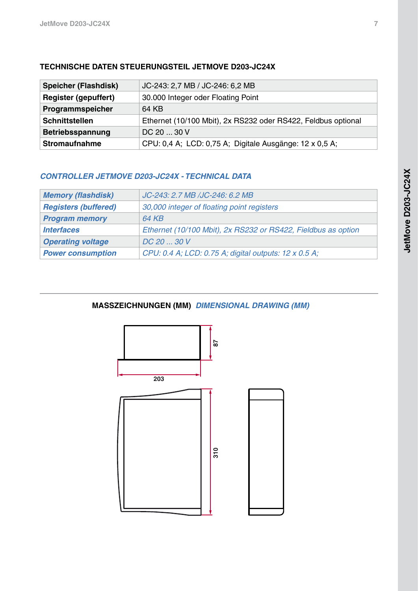| <b>Speicher (Flashdisk)</b> | JC-243: 2,7 MB / JC-246: 6,2 MB                               |
|-----------------------------|---------------------------------------------------------------|
| <b>Register (gepuffert)</b> | 30.000 Integer oder Floating Point                            |
| Programmspeicher            | 64 KB                                                         |
| <b>Schnittstellen</b>       | Ethernet (10/100 Mbit), 2x RS232 oder RS422, Feldbus optional |
| Betriebsspannung            | DC 20  30 V                                                   |
| <b>Stromaufnahme</b>        | CPU: 0,4 A; LCD: 0,75 A; Digitale Ausgänge: 12 x 0,5 A;       |

# **Technische Daten Steuerungsteil Jetmove d203-jc24x**

# *Controller JetMove D203-JC24x - Technical Data*

| <b>Memory (flashdisk)</b>   | JC-243: 2.7 MB /JC-246: 6.2 MB                                |
|-----------------------------|---------------------------------------------------------------|
| <b>Registers (buffered)</b> | 30,000 integer of floating point registers                    |
| <b>Program memory</b>       | 64 KB                                                         |
| <i><b>Interfaces</b></i>    | Ethernet (10/100 Mbit), 2x RS232 or RS422, Fieldbus as option |
| <b>Operating voltage</b>    | $DC$ 20 $$ 30 V                                               |
| <b>Power consumption</b>    | CPU: 0.4 A; LCD: 0.75 A; digital outputs: 12 x 0.5 A;         |

# **Masszeichnungen (mm)** *Dimensional Drawing (mm)*